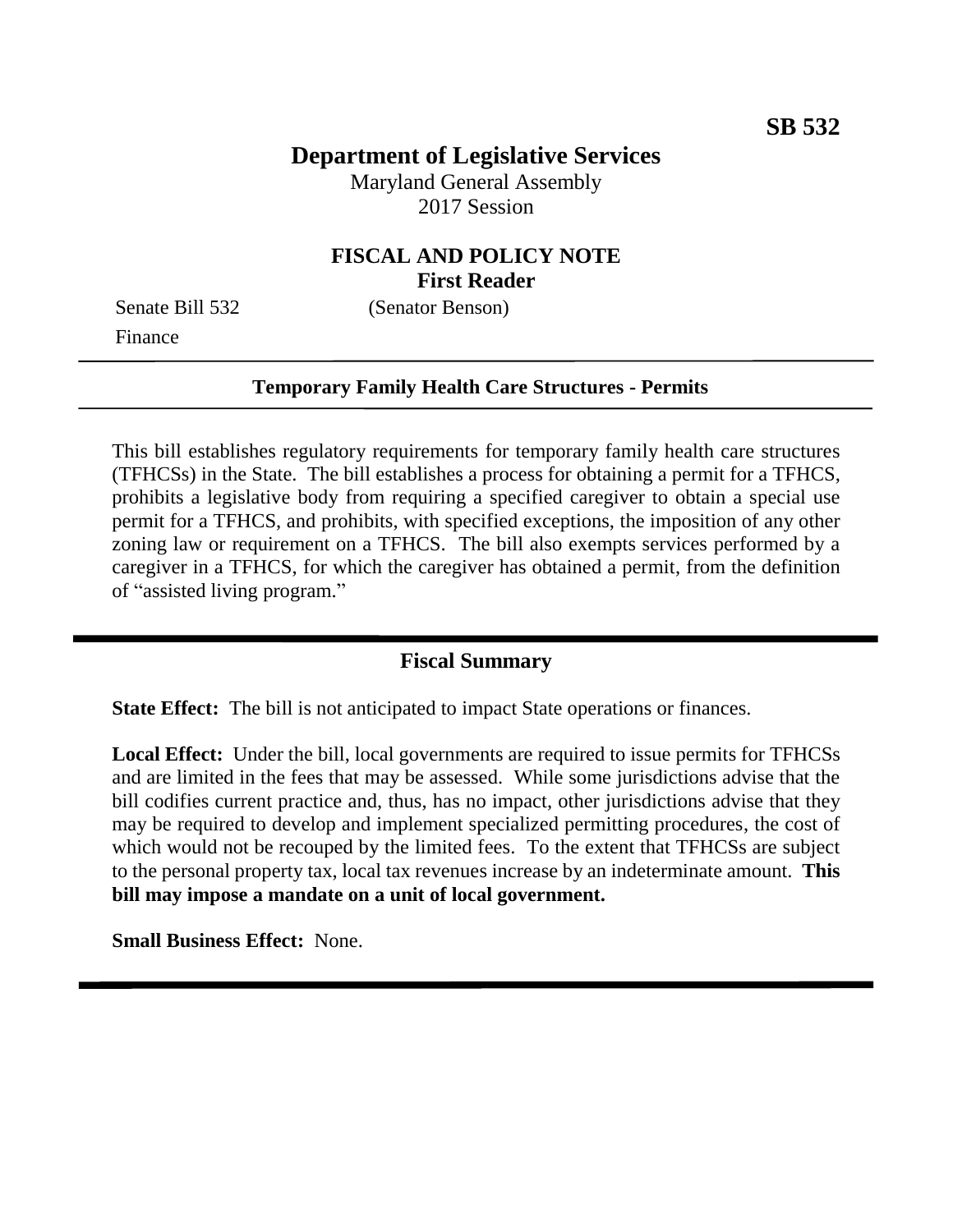# **Department of Legislative Services**

Maryland General Assembly 2017 Session

## **FISCAL AND POLICY NOTE First Reader**

Finance

Senate Bill 532 (Senator Benson)

#### **Temporary Family Health Care Structures - Permits**

This bill establishes regulatory requirements for temporary family health care structures (TFHCSs) in the State. The bill establishes a process for obtaining a permit for a TFHCS, prohibits a legislative body from requiring a specified caregiver to obtain a special use permit for a TFHCS, and prohibits, with specified exceptions, the imposition of any other zoning law or requirement on a TFHCS. The bill also exempts services performed by a caregiver in a TFHCS, for which the caregiver has obtained a permit, from the definition of "assisted living program."

### **Fiscal Summary**

**State Effect:** The bill is not anticipated to impact State operations or finances.

**Local Effect:** Under the bill, local governments are required to issue permits for TFHCSs and are limited in the fees that may be assessed. While some jurisdictions advise that the bill codifies current practice and, thus, has no impact, other jurisdictions advise that they may be required to develop and implement specialized permitting procedures, the cost of which would not be recouped by the limited fees. To the extent that TFHCSs are subject to the personal property tax, local tax revenues increase by an indeterminate amount. **This bill may impose a mandate on a unit of local government.**

**Small Business Effect:** None.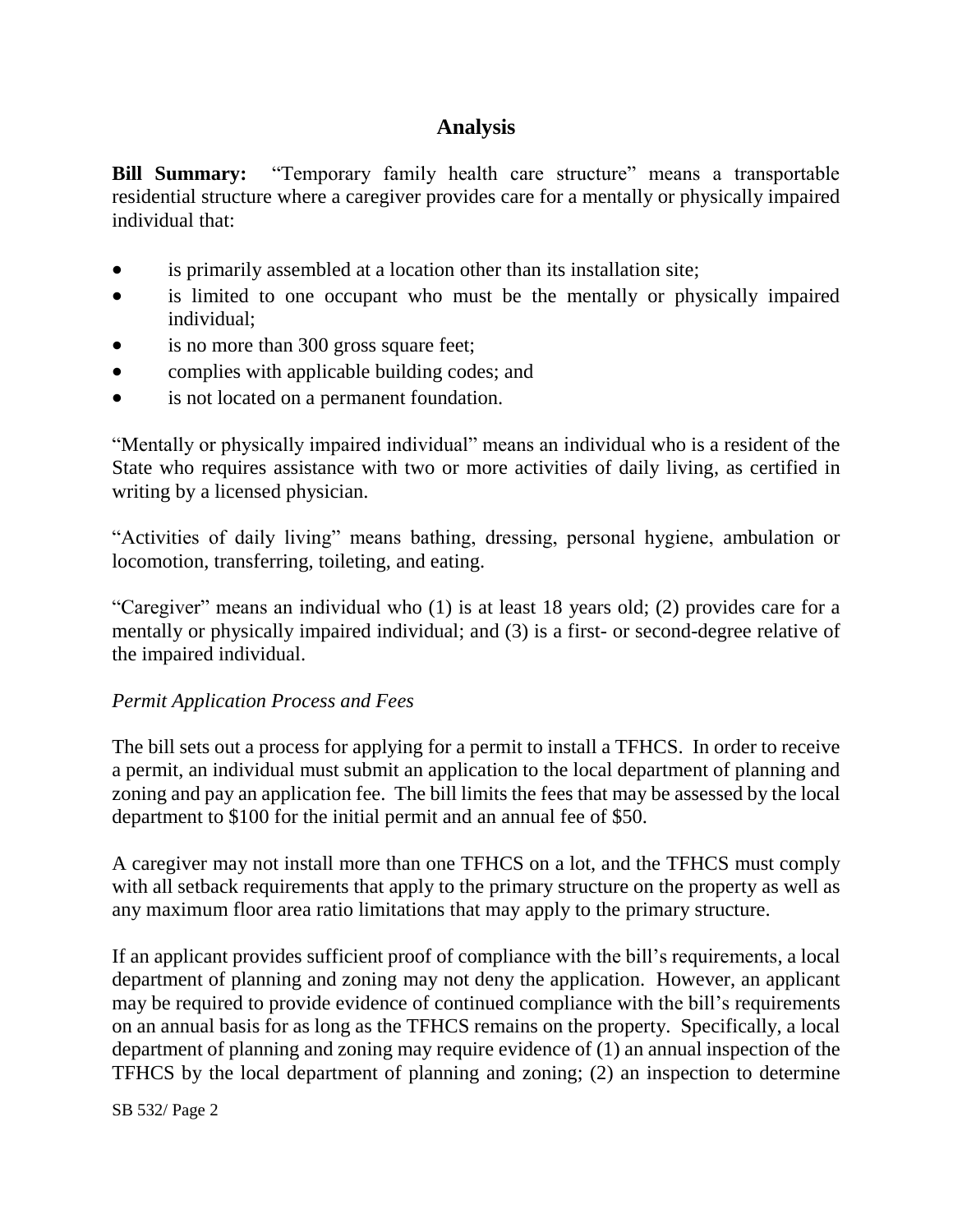# **Analysis**

**Bill Summary:** "Temporary family health care structure" means a transportable residential structure where a caregiver provides care for a mentally or physically impaired individual that:

- is primarily assembled at a location other than its installation site;
- is limited to one occupant who must be the mentally or physically impaired individual;
- is no more than 300 gross square feet;
- complies with applicable building codes; and
- is not located on a permanent foundation.

"Mentally or physically impaired individual" means an individual who is a resident of the State who requires assistance with two or more activities of daily living, as certified in writing by a licensed physician.

"Activities of daily living" means bathing, dressing, personal hygiene, ambulation or locomotion, transferring, toileting, and eating.

"Caregiver" means an individual who (1) is at least 18 years old; (2) provides care for a mentally or physically impaired individual; and (3) is a first- or second-degree relative of the impaired individual.

#### *Permit Application Process and Fees*

The bill sets out a process for applying for a permit to install a TFHCS. In order to receive a permit, an individual must submit an application to the local department of planning and zoning and pay an application fee. The bill limits the fees that may be assessed by the local department to \$100 for the initial permit and an annual fee of \$50.

A caregiver may not install more than one TFHCS on a lot, and the TFHCS must comply with all setback requirements that apply to the primary structure on the property as well as any maximum floor area ratio limitations that may apply to the primary structure.

If an applicant provides sufficient proof of compliance with the bill's requirements, a local department of planning and zoning may not deny the application. However, an applicant may be required to provide evidence of continued compliance with the bill's requirements on an annual basis for as long as the TFHCS remains on the property. Specifically, a local department of planning and zoning may require evidence of (1) an annual inspection of the TFHCS by the local department of planning and zoning; (2) an inspection to determine

SB 532/ Page 2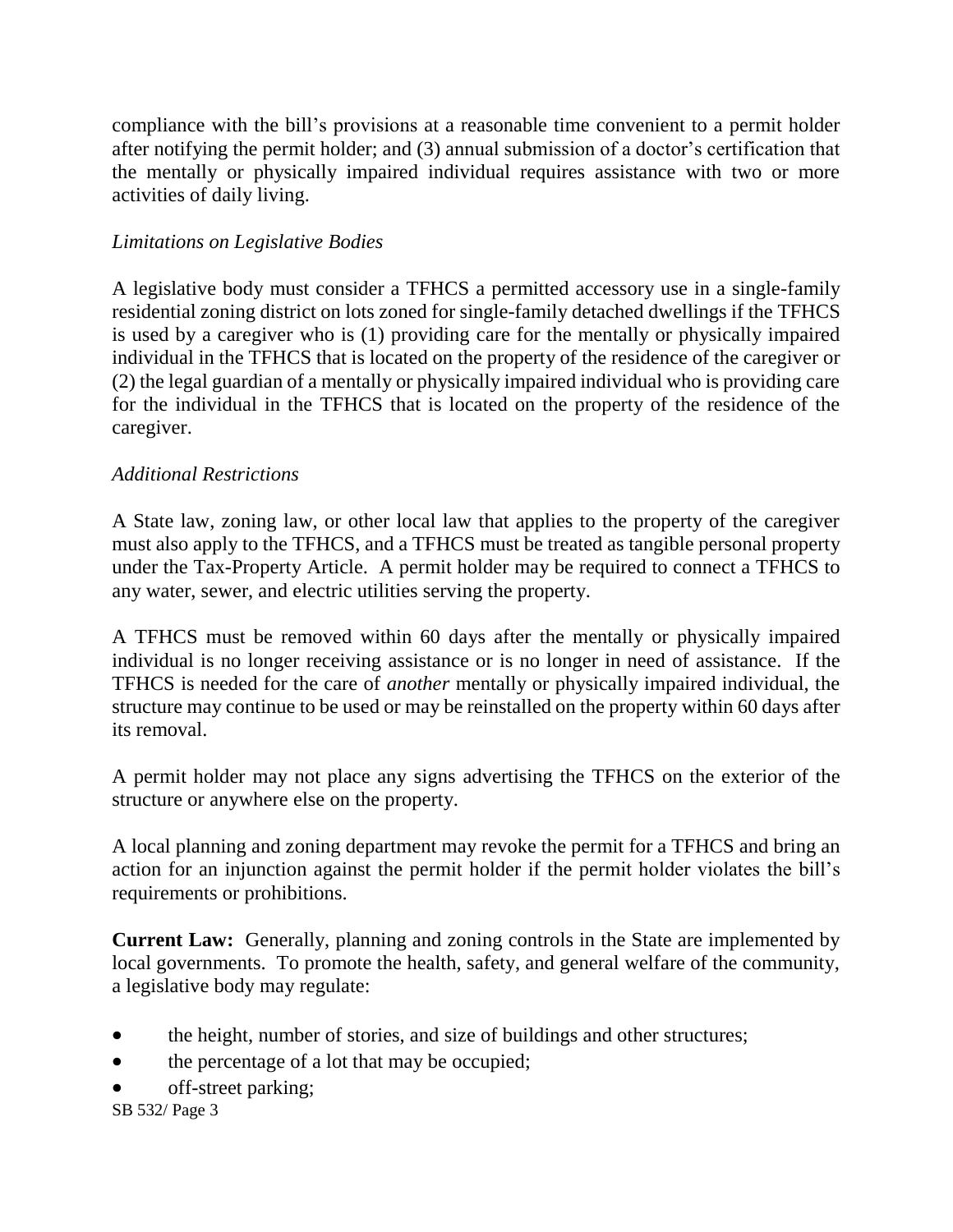compliance with the bill's provisions at a reasonable time convenient to a permit holder after notifying the permit holder; and (3) annual submission of a doctor's certification that the mentally or physically impaired individual requires assistance with two or more activities of daily living.

#### *Limitations on Legislative Bodies*

A legislative body must consider a TFHCS a permitted accessory use in a single-family residential zoning district on lots zoned for single-family detached dwellings if the TFHCS is used by a caregiver who is (1) providing care for the mentally or physically impaired individual in the TFHCS that is located on the property of the residence of the caregiver or (2) the legal guardian of a mentally or physically impaired individual who is providing care for the individual in the TFHCS that is located on the property of the residence of the caregiver.

### *Additional Restrictions*

A State law, zoning law, or other local law that applies to the property of the caregiver must also apply to the TFHCS, and a TFHCS must be treated as tangible personal property under the Tax-Property Article. A permit holder may be required to connect a TFHCS to any water, sewer, and electric utilities serving the property.

A TFHCS must be removed within 60 days after the mentally or physically impaired individual is no longer receiving assistance or is no longer in need of assistance. If the TFHCS is needed for the care of *another* mentally or physically impaired individual, the structure may continue to be used or may be reinstalled on the property within 60 days after its removal.

A permit holder may not place any signs advertising the TFHCS on the exterior of the structure or anywhere else on the property.

A local planning and zoning department may revoke the permit for a TFHCS and bring an action for an injunction against the permit holder if the permit holder violates the bill's requirements or prohibitions.

**Current Law:** Generally, planning and zoning controls in the State are implemented by local governments. To promote the health, safety, and general welfare of the community, a legislative body may regulate:

- the height, number of stories, and size of buildings and other structures;
- the percentage of a lot that may be occupied;
- off-street parking;

SB 532/ Page 3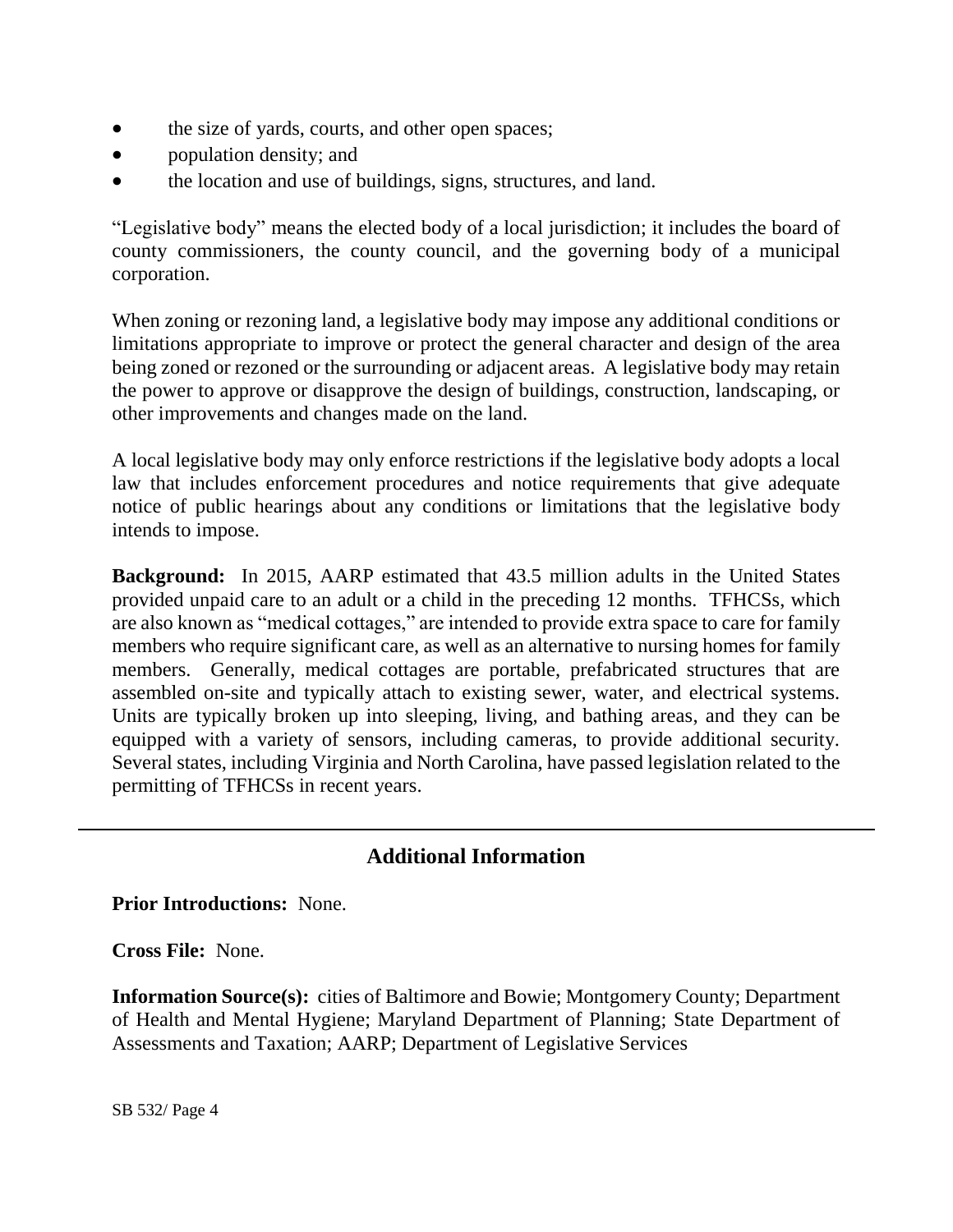- the size of yards, courts, and other open spaces;
- population density; and
- the location and use of buildings, signs, structures, and land.

"Legislative body" means the elected body of a local jurisdiction; it includes the board of county commissioners, the county council, and the governing body of a municipal corporation.

When zoning or rezoning land, a legislative body may impose any additional conditions or limitations appropriate to improve or protect the general character and design of the area being zoned or rezoned or the surrounding or adjacent areas. A legislative body may retain the power to approve or disapprove the design of buildings, construction, landscaping, or other improvements and changes made on the land.

A local legislative body may only enforce restrictions if the legislative body adopts a local law that includes enforcement procedures and notice requirements that give adequate notice of public hearings about any conditions or limitations that the legislative body intends to impose.

**Background:** In 2015, AARP estimated that 43.5 million adults in the United States provided unpaid care to an adult or a child in the preceding 12 months. TFHCSs, which are also known as "medical cottages," are intended to provide extra space to care for family members who require significant care, as well as an alternative to nursing homes for family members. Generally, medical cottages are portable, prefabricated structures that are assembled on-site and typically attach to existing sewer, water, and electrical systems. Units are typically broken up into sleeping, living, and bathing areas, and they can be equipped with a variety of sensors, including cameras, to provide additional security. Several states, including Virginia and North Carolina, have passed legislation related to the permitting of TFHCSs in recent years.

# **Additional Information**

**Prior Introductions:** None.

**Cross File:** None.

**Information Source(s):** cities of Baltimore and Bowie; Montgomery County; Department of Health and Mental Hygiene; Maryland Department of Planning; State Department of Assessments and Taxation; AARP; Department of Legislative Services